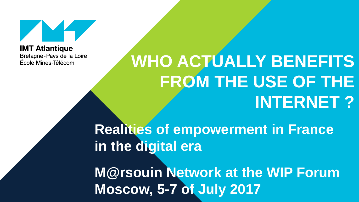

**IMT Atlantique** Bretagne-Pays de la Loire École Mines-Télécom

# **WHO ACTUALLY BENEFITS FROM THE USE OF THE INTERNET ?**

**Realities of empowerment in France in the digital era**

**M@rsouin Network at the WIP Forum Moscow, 5-7 of July 2017**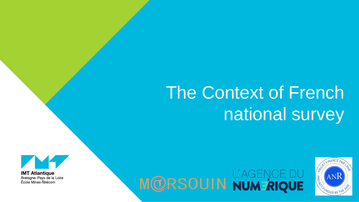# The Context of French national survey







**IMT Atlantique** Bretagne-Pays de la Loire École Mines Télécom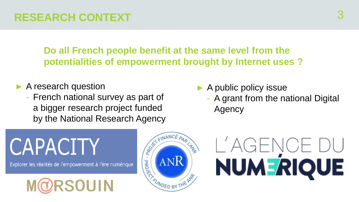**Do all French people benefit at the same level from the potentialities of empowerment brought by Internet uses ?** 

- ► A research question
	- French national survey as part of a bigger research project funded by the National Research Agency
- $\blacktriangleright$  A public policy issue
	- A grant from the national Digital Agency

# **CAPACITY**

Explorer les réalités de l'empowerment à l'ère numérique





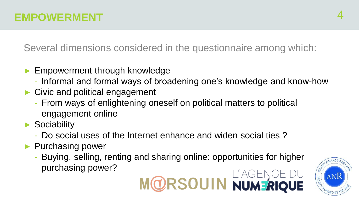Several dimensions considered in the questionnaire among which:

- ► Empowerment through knowledge
	- Informal and formal ways of broadening one's knowledge and know-how
- ► Civic and political engagement
	- From ways of enlightening oneself on political matters to political engagement online
- ► Sociability
	- Do social uses of the Internet enhance and widen social ties ?
- ► Purchasing power
	- Buying, selling, renting and sharing online: opportunities for higher purchasing power? MORSOUIN NUMERIQUE

![](_page_3_Picture_10.jpeg)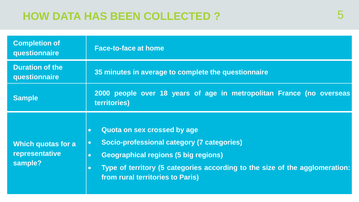## **HOW DATA HAS BEEN COLLECTED ?**

| <b>Completion of</b><br>questionnaire           | <b>Face-to-face at home</b>                                                                                                                                                                                                                                                                     |
|-------------------------------------------------|-------------------------------------------------------------------------------------------------------------------------------------------------------------------------------------------------------------------------------------------------------------------------------------------------|
| <b>Duration of the</b><br>questionnaire         | 35 minutes in average to complete the questionnaire                                                                                                                                                                                                                                             |
| <b>Sample</b>                                   | 2000 people over 18 years of age in metropolitan France (no overseas<br>territories)                                                                                                                                                                                                            |
| Which quotas for a<br>representative<br>sample? | Quota on sex crossed by age<br>$\bullet$<br>Socio-professional category (7 categories)<br>$\bullet$<br><b>Geographical regions (5 big regions)</b><br>$\bullet$<br>Type of territory (5 categories according to the size of the agglomeration:<br>$\bullet$<br>from rural territories to Paris) |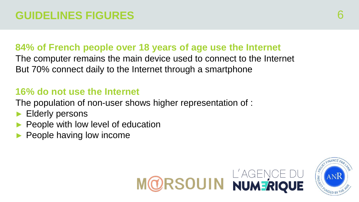#### **84% of French people over 18 years of age use the Internet**

The computer remains the main device used to connect to the Internet But 70% connect daily to the Internet through a smartphone

#### **16% do not use the Internet**

The population of non-user shows higher representation of :

- Elderly persons
- People with low level of education
- People having low income

![](_page_5_Picture_8.jpeg)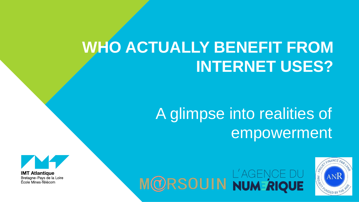# **WHO ACTUALLY BENEFIT FROM INTERNET USES?**

# A glimpse into realities of empowerment

![](_page_6_Picture_2.jpeg)

MORSOUIN NUM RIQUE

![](_page_6_Picture_4.jpeg)

**IMT Atlantique** Bretagne-Pays de la Loire École Mines Télécom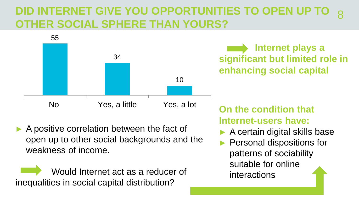#### **DID INTERNET GIVE YOU OPPORTUNITIES TO OPEN UP T OTHER SOCIAL SPHERE THAN YOURS?** 8

![](_page_7_Figure_1.jpeg)

**Internet plays a significant but limited role in enhancing social capital**

#### A positive correlation between the fact of open up to other social backgrounds and the weakness of income.

Would Internet act as a reducer of inequalities in social capital distribution?

# **Internet-users have:**

- ► A certain digital skills base
- ► Personal dispositions for patterns of sociability suitable for online interactions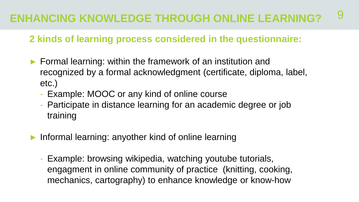#### **2 kinds of learning process considered in the questionnaire:**

- ► Formal learning: within the framework of an institution and recognized by a formal acknowledgment (certificate, diploma, label, etc.)
	- Example: MOOC or any kind of online course
	- Participate in distance learning for an academic degree or job training
- Informal learning: anyother kind of online learning
	- Example: browsing wikipedia, watching youtube tutorials, engagment in online community of practice (knitting, cooking, mechanics, cartography) to enhance knowledge or know-how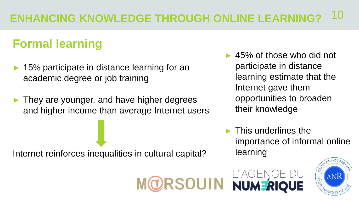**SOUIN** 

# **Formal learning**

- 15% participate in distance learning for an academic degree or job training
- ► They are younger, and have higher degrees and higher income than average Internet users

Internet reinforces inequalities in cultural capital?

- ► 45% of those who did not participate in distance learning estimate that the Internet gave them opportunities to broaden their knowledge
- $\blacktriangleright$  This underlines the importance of informal online learning

![](_page_9_Picture_7.jpeg)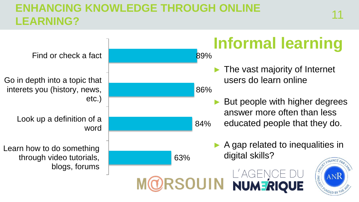## **ENHANCING KNOWLEDGE THROUGH ONLINE**  LINITATIONS NITOWELDOL TINOGOTI ONEINE<br>LEARNING?

**Informal learning** Find or check a fact89% The vast majority of Internet users do learn online Go in depth into a topic that interets you (history, news, 86% etc.) But people with higher degrees answer more often than less Look up a definition of a educated people that they do. 84% word  $\triangleright$  A gap related to inequalities in Learn how to do something 63% digital skills? through video tutorials, blogs, forums L'AGENCE DU<br>Numerique  $\sqrt{9900 \cdot 60}$ ANR **SOUIN**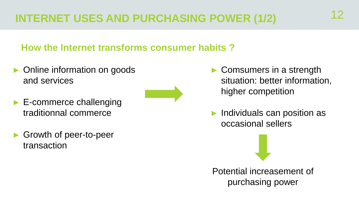## **INTERNET USES AND PURCHASING POWER (1/2)**

#### **How the Internet transforms consumer habits ?**

- Online information on goods and services
- ► E-commerce challenging traditionnal commerce
- ► Growth of peer-to-peer transaction
- Comsumers in a strength situation: better information, higher competition
- Individuals can position as occasional sellers

Potential increasement of purchasing power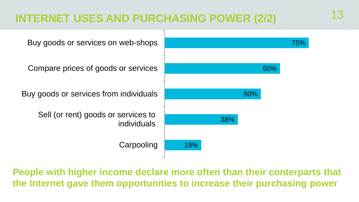## **INTERNET USES AND PURCHASING POWER (2/2)** 13

![](_page_12_Figure_1.jpeg)

**People with higher income declare more often than their conterparts that the Internet gave them opportunities to increase their purchasing power**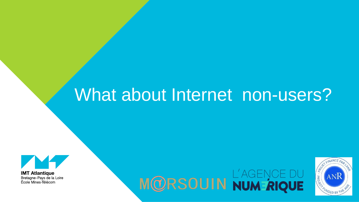# What about Internet non-users?

![](_page_13_Picture_1.jpeg)

**IMT Atlantique** Bretagne-Pays de la Loire École Mines Télécom

![](_page_13_Picture_3.jpeg)

![](_page_13_Picture_4.jpeg)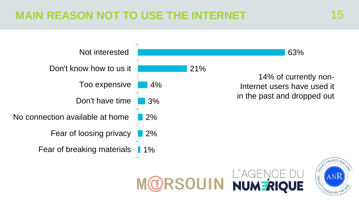## **REASON NOT TO USE THE INTERNET 15 15**

![](_page_14_Figure_1.jpeg)

![](_page_14_Picture_2.jpeg)

![](_page_14_Picture_3.jpeg)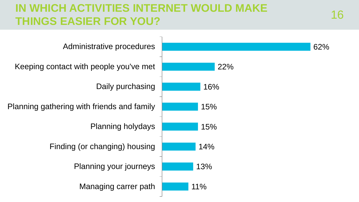## **IN WHICH ACTIVITIES INTERNET WOULD MAKE**  THINGS EASIER FOR YOU?

![](_page_15_Figure_1.jpeg)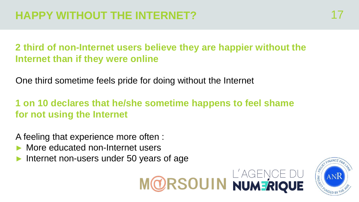**2 third of non-Internet users believe they are happier without the Internet than if they were online**

One third sometime feels pride for doing without the Internet

#### **1 on 10 declares that he/she sometime happens to feel shame for not using the Internet**

A feeling that experience more often :

- More educated non-Internet users
- Internet non-users under 50 years of age

![](_page_16_Picture_7.jpeg)

![](_page_16_Picture_8.jpeg)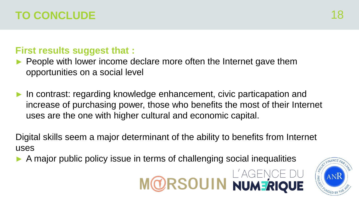### **TO CONCLUDE**

#### **First results suggest that :**

- People with lower income declare more often the Internet gave them opportunities on a social level
- In contrast: regarding knowledge enhancement, civic particapation and increase of purchasing power, those who benefits the most of their Internet uses are the one with higher cultural and economic capital.

Digital skills seem a major determinant of the ability to benefits from Internet uses

A major public policy issue in terms of challenging social inequalities

![](_page_17_Picture_6.jpeg)

![](_page_17_Picture_7.jpeg)